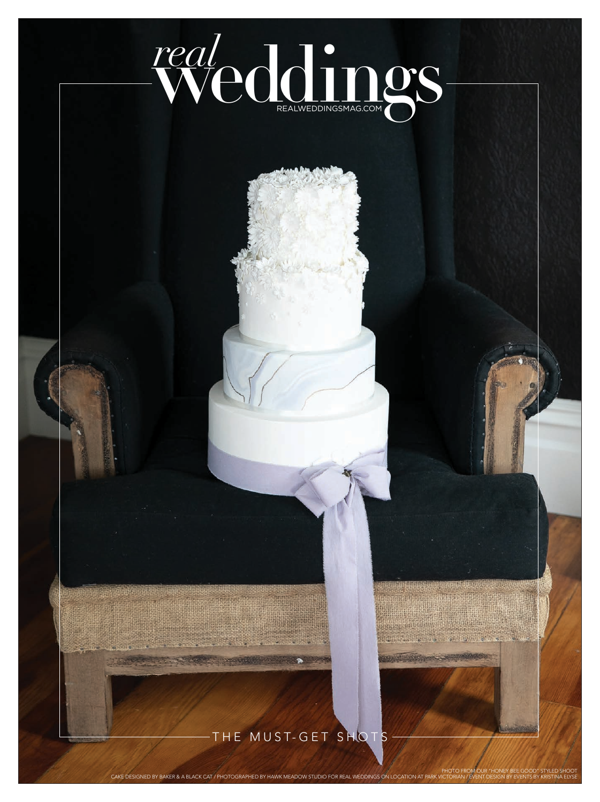